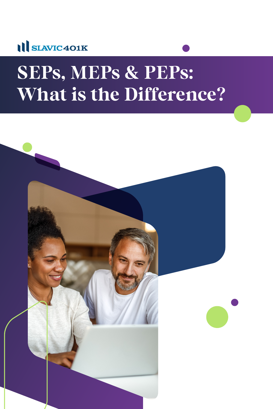

# **SEPs, MEPs & PEPs: What is the Difference?**

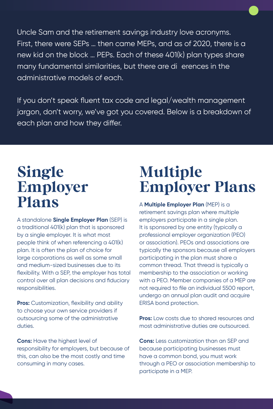Uncle Sam and the retirement savings industry love acronyms. First, there were SEPs … then came MEPs, and as of 2020, there is a new kid on the block … PEPs. Each of these 401(k) plan types share many fundamental similarities, but there are dieprences in the administrative models of each.

If you don't speak fluent tax code and legal/wealth management jargon, don't worry, we've got you covered. Below is a breakdown of each plan and how they differ.

### **Single Employer Plans**

A standalone **Single Employer Plan** (SEP) is a traditional 401(k) plan that is sponsored by a single employer. It is what most people think of when referencing a 401(k) plan. It is often the plan of choice for large corporations as well as some small and medium-sized businesses due to its flexibility. With a SEP, the employer has total control over all plan decisions and fiduciary responsibilities.

**Pros:** Customization, flexibility and ability to choose your own service providers if outsourcing some of the administrative duties.

**Cons:** Have the highest level of responsibility for employers, but because of this, can also be the most costly and time consuming in many cases.

## **Multiple Employer Plans**

A **Multiple Employer Plan** (MEP) is a retirement savings plan where multiple employers participate in a single plan. It is sponsored by one entity (typically a professional employer organization (PEO) or association). PEOs and associations are typically the sponsors because all employers participating in the plan must share a common thread. That thread is typically a membership to the association or working with a PEO. Member companies of a MEP are not required to file an individual 5500 report, undergo an annual plan audit and acquire ERISA bond protection.

**Pros:** Low costs due to shared resources and most administrative duties are outsourced.

**Cons:** Less customization than an SEP and because participating businesses must have a common bond, you must work through a PEO or association membership to participate in a MEP.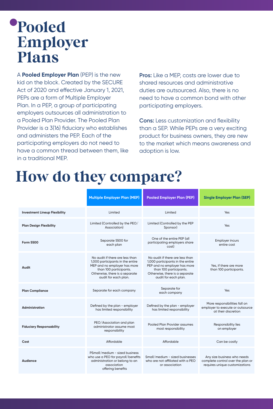## **Pooled Employer Plans**

A **Pooled Employer Plan** (PEP) is the new kid on the block. Created by the SECURE Act of 2020 and effective January 1, 2021, PEPs are a form of Multiple Employer Plan. In a PEP, a group of participating employers outsources all administration to a Pooled Plan Provider. The Pooled Plan Provider is a 3(16) fiduciary who establishes and administers the PEP. Each of the participating employers do not need to have a common thread between them, like in a traditional MEP.

**Pros:** Like a MEP, costs are lower due to shared resources and administrative duties are outsourced. Also, there is no need to have a common bond with other participating employers.

**Cons:** Less customization and flexibility than a SEP. While PEPs are a very exciting product for business owners, they are new to the market which means awareness and adoption is low.

## **How do they compare?**

|                                      | <b>Multiple Employer Plan (MEP)</b>                                                                                                                                                     | <b>Pooled Employer Plan (PEP)</b>                                                                                                                                                       | <b>Single Employer Plan (SEP)</b>                                                                  |  |
|--------------------------------------|-----------------------------------------------------------------------------------------------------------------------------------------------------------------------------------------|-----------------------------------------------------------------------------------------------------------------------------------------------------------------------------------------|----------------------------------------------------------------------------------------------------|--|
| <b>Investment Lineup Flexibility</b> | Limited                                                                                                                                                                                 | Limited                                                                                                                                                                                 | Yes                                                                                                |  |
| <b>Plan Design Flexibility</b>       | Limited (Controlled by the PEO/<br>Association)                                                                                                                                         | Limited (Controlled by the PEP<br>Sponsor)                                                                                                                                              | Yes                                                                                                |  |
| Form 5500                            | Separate 5500 for<br>each plan                                                                                                                                                          | One of the entire PEP (all<br>participating employers share<br>cost)                                                                                                                    | <b>Employer incurs</b><br>entire cost                                                              |  |
| Audit                                | No audit if there are less than<br>1,000 participants in the entire<br>MEP and no employer has more<br>than 100 participants.<br>Otherwise, there is a separate<br>audit for each plan. | No audit if there are less than<br>1,000 participants in the entire<br>PEP and no employer has more<br>than 100 participants.<br>Otherwise, there is a separate<br>audit for each plan. | Yes, if there are more<br>than 100 participants.                                                   |  |
| <b>Plan Compliance</b>               | Separate for each company                                                                                                                                                               | Separate for<br>each company                                                                                                                                                            | Yes                                                                                                |  |
| <b>Administration</b>                | Defined by the plan - employer<br>has limited responsibility                                                                                                                            | Defined by the plan - employer<br>has limited responsibility                                                                                                                            | More responsibilities fall on<br>employer to execute or outsource<br>at their discretion           |  |
| <b>Fiduciary Responsability</b>      | PEO/Association and plan<br>administrator assume most<br>responsibility                                                                                                                 | Pooled Plan Provider assumes<br>most responsibility                                                                                                                                     | Responsibility lies<br>on employer                                                                 |  |
| Cost                                 | Affordable                                                                                                                                                                              | Affordable                                                                                                                                                                              | Can be costly                                                                                      |  |
| Audience                             | PSmall/medium - sized business<br>who use a PEO for payroll/benefits<br>administration or belong to an<br>association<br>offering benefits                                              | Small/medium - sized businesses<br>who are not affiliated with a PEO<br>or association                                                                                                  | Any size business who needs<br>complete control over the plan or<br>requires unique customizations |  |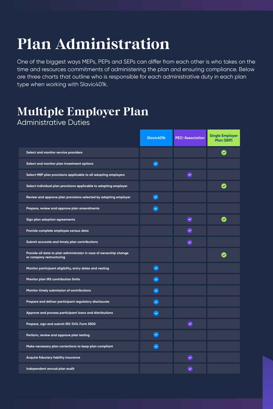## **Plan Administration**

One of the biggest ways MEPs, PEPs and SEPs can differ from each other is who takes on the time and resources commitments of administering the plan and ensuring compliance. Below are three charts that outline who is responsible for each administrative duty in each plan type when working with Slavic401k.

#### **Multiple Employer Plan** Administrative Duties

|                                                                                                | Slavic401k              | <b>PEO/Association</b> | <b>Single Employer</b><br>Plan (SEP) |
|------------------------------------------------------------------------------------------------|-------------------------|------------------------|--------------------------------------|
| Select and monitor service providers                                                           |                         |                        | $\checkmark$                         |
| Select and monitor plan investment options                                                     | $\checkmark$            |                        |                                      |
| Select MEP plan provisions applicable to all adopting employers                                |                         | $\bullet$              |                                      |
| Select individual plan provisions applicable to adopting employer                              |                         |                        | $\blacktriangledown$                 |
| Review and approve plan provisions selected by adopting employer                               | $\sim$                  |                        |                                      |
| Prepare, review and approve plan amendments                                                    | $\checkmark$            |                        |                                      |
| Sign plan adoption agreements                                                                  |                         | $\checkmark$           | $\blacktriangledown$                 |
| Provide complete employee census data                                                          |                         | $\overline{\vee}$      |                                      |
| Submit accurate and timely plan contributions                                                  |                         | $\overline{\vee}$      |                                      |
| Provide all data to plan administrator in case of ownership change<br>or company restructuring |                         |                        |                                      |
| Monitor participant eligibility, entry dates and vesting                                       | $\bullet$               |                        |                                      |
| Monitor plan IRS contribution limits                                                           | $\tilde{\phantom{a}}$   |                        |                                      |
| Monitor timely submission of contributions                                                     | $\sim$                  |                        |                                      |
| Prepare and deliver participant regulatory disclosures                                         | $\bullet$               |                        |                                      |
| Approve and process participant loans and distributions                                        | $(\checkmark$           |                        |                                      |
| Prepare, sign and submit IRS/DOL Form 5500                                                     |                         | $\sim$                 |                                      |
| Perform, review and approve plan testing                                                       | $\tilde{\phantom{a}}$   |                        |                                      |
| Make necessary plan corrections to keep plan compliant                                         | $\overline{\mathbf{v}}$ |                        |                                      |
| Acquire fiduciary liability insurance                                                          |                         | $\checkmark$           |                                      |
| Independent annual plan audit                                                                  |                         | $\checkmark$           |                                      |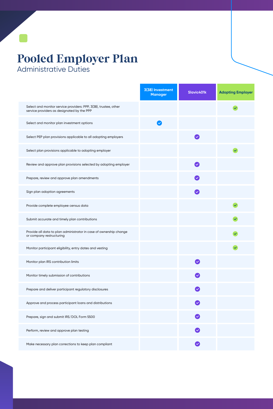#### **Pooled Employer Plan** Administrative Duties

|                                                                                                                | 3(38) Investment<br><b>Manager</b> | Slavic401k                                     | <b>Adopting Employer</b> |
|----------------------------------------------------------------------------------------------------------------|------------------------------------|------------------------------------------------|--------------------------|
| Select and monitor service providers: PPP, 3(38), trustee, other<br>service providers as designated by the PPP |                                    |                                                |                          |
| Select and monitor plan investment options                                                                     | $\checkmark$                       |                                                |                          |
| Select PEP plan provisions applicable to all adopting employers                                                |                                    | $\sim$                                         |                          |
| Select plan provisions applicable to adopting employer                                                         |                                    |                                                | $\checkmark$             |
| Review and approve plan provisions selected by adopting employer                                               |                                    | $\sim$                                         |                          |
| Prepare, review and approve plan amendments                                                                    |                                    | $\overline{\vee}$                              |                          |
| Sign plan adoption agreements                                                                                  |                                    | $\checkmark$                                   |                          |
| Provide complete employee census data                                                                          |                                    |                                                |                          |
| Submit accurate and timely plan contributions                                                                  |                                    |                                                |                          |
| Provide all data to plan administrator in case of ownership change<br>or company restructuring                 |                                    |                                                |                          |
| Monitor participant eligibility, entry dates and vesting                                                       |                                    |                                                |                          |
| Monitor plan IRS contribution limits                                                                           |                                    | $\blacktriangledown$                           |                          |
| Monitor timely submission of contributions                                                                     |                                    |                                                |                          |
| Prepare and deliver participant regulatory disclosures                                                         |                                    |                                                |                          |
| Approve and process participant loans and distributions                                                        |                                    |                                                |                          |
| Prepare, sign and submit IRS/DOL Form 5500                                                                     |                                    | $\boldsymbol{\heartsuit}$                      |                          |
| Perform, review and approve plan testing                                                                       |                                    | $\overline{\smash[b]{\mathbf{v}}\vphantom{b}}$ |                          |
| Make necessary plan corrections to keep plan compliant                                                         |                                    | $\sim$                                         |                          |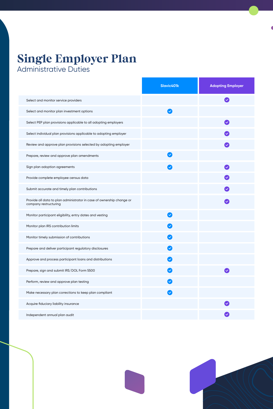#### **Single Employer Plan** Administrative Duties

**Slavic401k Adopting Employer** ◙ Select and monitor service providers Select and monitor plan investment options  $\boldsymbol{\mathcal{S}}$ Select PEP plan provisions applicable to all adopting employers  $\bullet$ Select individual plan provisions applicable to adopting employer Review and approve plan provisions selected by adopting employer Prepare, review and approve plan amendments Sign plan adoption agreements  $\bullet$ Provide complete employee census data Submit accurate and timely plan contributions Provide all data to plan administrator in case of ownership change or Ø company restructuring Monitor participant eligibility, entry dates and vesting  $\blacktriangledown$ Monitor plan IRS contribution limits  $\mathcal{S}$ Monitor timely submission of contributions  $\blacktriangledown$ Prepare and deliver participant regulatory disclosures  $\blacktriangledown$ Approve and process participant loans and distributions  $\bigcirc$ Prepare, sign and submit IRS/DOL Form 5500 Ø  $\mathcal Q$ Perform, review and approve plan testing  $\bullet$ Make necessary plan corrections to keep plan compliant Acquire fiduciary liability insurance Independent annual plan audit